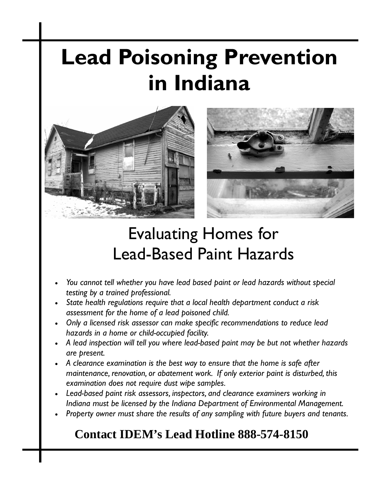# **Lead Poisoning Prevention in Indiana**





## Evaluating Homes for Lead-Based Paint Hazards

- *You cannot tell whether you have lead based paint or lead hazards without special testing by a trained professional.*
- *State health regulations require that a local health department conduct a risk assessment for the home of a lead poisoned child.*
- *Only a licensed risk assessor can make specific recommendations to reduce lead hazards in a home or child-occupied facility.*
- *A lead inspection will tell you where lead-based paint may be but not whether hazards are present.*
- *A clearance examination is the best way to ensure that the home is safe after maintenance, renovation, or abatement work. If only exterior paint is disturbed, this examination does not require dust wipe samples.*
- *Lead-based paint risk assessors, inspectors, and clearance examiners working in Indiana must be licensed by the Indiana Department of Environmental Management.*
- *Property owner must share the results of any sampling with future buyers and tenants.*

## **Contact IDEM's Lead Hotline 888-574-8150**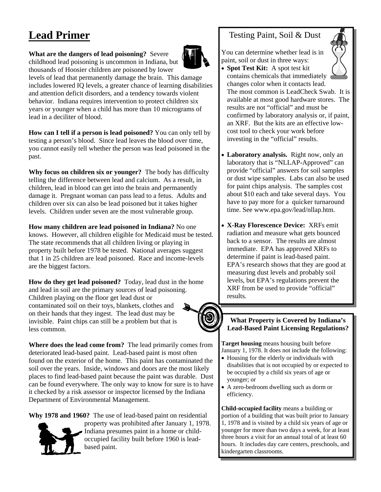## **Lead Primer**

#### **What are the dangers of lead poisoning?** Severe

childhood lead poisoning is uncommon in Indiana, but thousands of Hoosier children are poisoned by lower

levels of lead that permanently damage the brain. This damage includes lowered IQ levels, a greater chance of learning disabilities and attention deficit disorders, and a tendency towards violent behavior. Indiana requires intervention to protect children six years or younger when a child has more than 10 micrograms of lead in a deciliter of blood.

**How can I tell if a person is lead poisoned?** You can only tell by testing a person's blood. Since lead leaves the blood over time, you cannot easily tell whether the person was lead poisoned in the past.

**Why focus on children six or younger?** The body has difficulty telling the difference between lead and calcium. As a result, in children, lead in blood can get into the brain and permanently damage it. Pregnant woman can pass lead to a fetus. Adults and children over six can also be lead poisoned but it takes higher levels. Children under seven are the most vulnerable group.

**How many children are lead poisoned in Indiana?** No one knows. However, all children eligible for Medicaid must be tested. The state recommends that all children living or playing in property built before 1978 be tested. National averages suggest that 1 in 25 children are lead poisoned. Race and income-levels are the biggest factors.

**How do they get lead poisoned?** Today, lead dust in the home and lead in soil are the primary sources of lead poisoning. Children playing on the floor get lead dust or contaminated soil on their toys, blankets, clothes and on their hands that they ingest. The lead dust may be invisible. Paint chips can still be a problem but that is less common.

**Where does the lead come from?** The lead primarily comes from deteriorated lead-based paint. Lead-based paint is most often found on the exterior of the home. This paint has contaminated the soil over the years. Inside, windows and doors are the most likely places to find lead-based paint because the paint was durable. Dust can be found everywhere. The only way to know for sure is to have it checked by a risk assessor or inspector licensed by the Indiana Department of Environmental Management.

**Why 1978 and 1960?** The use of lead-based paint on residential



property was prohibited after January 1, 1978. Indiana presumes paint in a home or childoccupied facility built before 1960 is leadbased paint.

#### Testing Paint, Soil & Dust

You can determine whether lead is in paint, soil or dust in three ways:



- **Spot Test Kit:** A spot test kit contains chemicals that immediately changes color when it contacts lead. The most common is LeadCheck Swab. It is available at most good hardware stores. The results are not "official" and must be confirmed by laboratory analysis or, if paint, an XRF. But the kits are an effective lowcost tool to check your work before investing in the "official" results.
- **Laboratory analysis.** Right now, only an laboratory that is "NLLAP-Approved" can provide "official" answers for soil samples or dust wipe samples. Labs can also be used for paint chips analysis. The samples cost about \$10 each and take several days. You have to pay more for a quicker turnaround time. See www.epa.gov/lead/nllap.htm.
- **X-Ray Florescence Device:** XRFs emit radiation and measure what gets bounced back to a sensor. The results are almost immediate. EPA has approved XRFs to determine if paint is lead-based paint. EPA's research shows that they are good at measuring dust levels and probably soil levels, but EPA's regulations prevent the XRF from be used to provide "official" results.

#### **What Property is Covered by Indiana's Lead-Based Paint Licensing Regulations?**

**Target housing** means housing built before January 1, 1978. It does not include the following:

- Housing for the elderly or individuals with disabilities that is not occupied by or expected to be occupied by a child six years of age or younger; or
- A zero-bedroom dwelling such as dorm or efficiency.

**Child-occupied facility** means a building or portion of a building that was built prior to January 1, 1978 and is visited by a child six years of age or younger for more than two days a week, for at least three hours a visit for an annual total of at least 60 hours. It includes day care centers, preschools, and kindergarten classrooms.

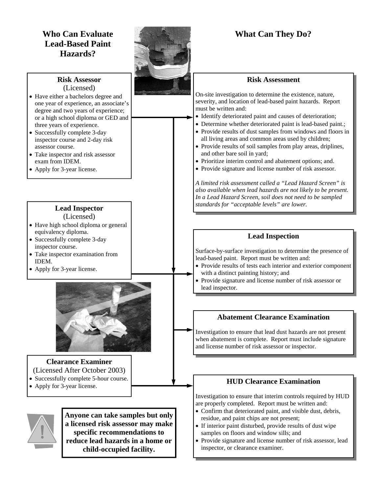